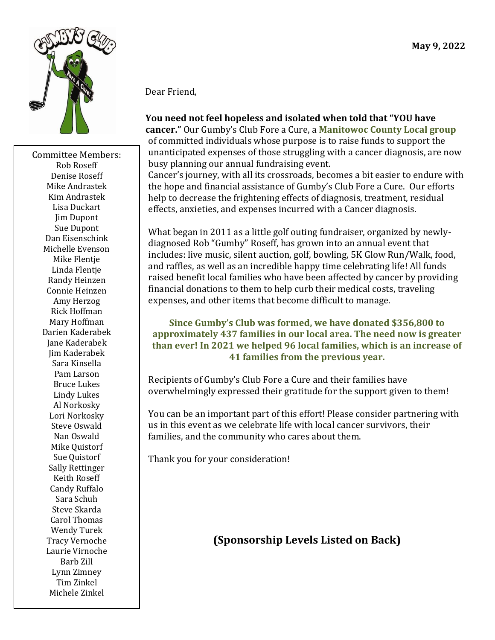

Committee Members: Rob Roseff Denise Roseff Mike Andrastek Kim Andrastek Lisa Duckart Jim Dupont Sue Dupont Dan Eisenschink Michelle Evenson Mike Flentje Linda Flentje Randy Heinzen Connie Heinzen Amy Herzog Rick Hoffman Mary Hoffman Darien Kaderabek Jane Kaderabek Jim Kaderabek Sara Kinsella Pam Larson Bruce Lukes Lindy Lukes Al Norkosky Lori Norkosky Steve Oswald Nan Oswald Mike Quistorf Sue Quistorf Sally Rettinger Keith Roseff Candy Ruffalo Sara Schuh Steve Skarda Carol Thomas Wendy Turek Tracy Vernoche Laurie Virnoche Barb Zill Lynn Zimney Tim Zinkel Michele Zinkel

#### Dear Friend,

# **You need not feel hopeless and isolated when told that "YOU have**

**cancer."** Our Gumby's Club Fore a Cure, a **Manitowoc County Local group** of committed individuals whose purpose is to raise funds to support the unanticipated expenses of those struggling with a cancer diagnosis, are now busy planning our annual fundraising event.

Cancer's journey, with all its crossroads, becomes a bit easier to endure with the hope and financial assistance of Gumby's Club Fore a Cure. Our efforts help to decrease the frightening effects of diagnosis, treatment, residual effects, anxieties, and expenses incurred with a Cancer diagnosis.

What began in 2011 as a little golf outing fundraiser, organized by newlydiagnosed Rob "Gumby" Roseff, has grown into an annual event that includes: live music, silent auction, golf, bowling, 5K Glow Run/Walk, food, and raffles, as well as an incredible happy time celebrating life! All funds raised benefit local families who have been affected by cancer by providing financial donations to them to help curb their medical costs, traveling expenses, and other items that become difficult to manage.

#### **Since Gumby's Club was formed, we have donated \$356,800 to approximately 437 families in our local area. The need now is greater than ever! In 2021 we helped 96 local families, which is an increase of 41 families from the previous year.**

Recipients of Gumby's Club Fore a Cure and their families have overwhelmingly expressed their gratitude for the support given to them!

You can be an important part of this effort! Please consider partnering with us in this event as we celebrate life with local cancer survivors, their families, and the community who cares about them.

Thank you for your consideration!

# **(Sponsorship Levels Listed on Back)**